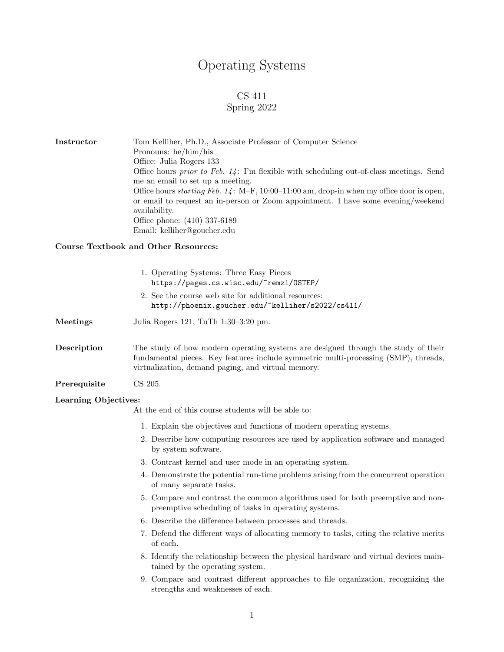# Operating Systems

## CS 411

### Spring 2022

Instructor Tom Kelliher, Ph.D., Associate Professor of Computer Science Pronouns: he/him/his Office: Julia Rogers 133 Office hours *prior to Feb. 14*: I'm flexible with scheduling out-of-class meetings. Send me an email to set up a meeting. Office hours starting Feb. 14 : M–F, 10:00–11:00 am, drop-in when my office door is open, or email to request an in-person or Zoom appointment. I have some evening/weekend availability. Office phone: (410) 337-6189 Email: kelliher@goucher.edu

#### Course Textbook and Other Resources:

|                      | 1. Operating Systems: Three Easy Pieces<br>https://pages.cs.wisc.edu/~remzi/OSTEP/                                                                                                                                             |
|----------------------|--------------------------------------------------------------------------------------------------------------------------------------------------------------------------------------------------------------------------------|
|                      | 2. See the course web site for additional resources:<br>http://phoenix.goucher.edu/~kelliher/s2022/cs411/                                                                                                                      |
| Meetings             | Julia Rogers 121, TuTh 1:30-3:20 pm.                                                                                                                                                                                           |
| Description          | The study of how modern operating systems are designed through the study of their<br>fundamental pieces. Key features include symmetric multi-processing (SMP), threads,<br>virtualization, demand paging, and virtual memory. |
| Prerequisite         | CS 205.                                                                                                                                                                                                                        |
| Learning Objectives: | At the end of this course students will be able to:                                                                                                                                                                            |
|                      | 1. Explain the objectives and functions of modern operating systems.                                                                                                                                                           |
|                      | 2. Describe how computing resources are used by application software and managed<br>by system software.                                                                                                                        |
|                      | 3. Contrast kernel and user mode in an operating system.                                                                                                                                                                       |
|                      | 4. Demonstrate the potential run-time problems arising from the concurrent operation<br>of many separate tasks.                                                                                                                |
|                      | 5. Compare and contrast the common algorithms used for both preemptive and non-<br>preemptive scheduling of tasks in operating systems.                                                                                        |
|                      | 6. Describe the difference between processes and threads.                                                                                                                                                                      |
|                      | 7. Defend the different ways of allocating memory to tasks, citing the relative merits<br>of each.                                                                                                                             |
|                      | 8. Identify the relationship between the physical hardware and virtual devices main-<br>tained by the operating system.                                                                                                        |
|                      | 9. Compare and contrast different approaches to file organization, recognizing the<br>strengths and weaknesses of each.                                                                                                        |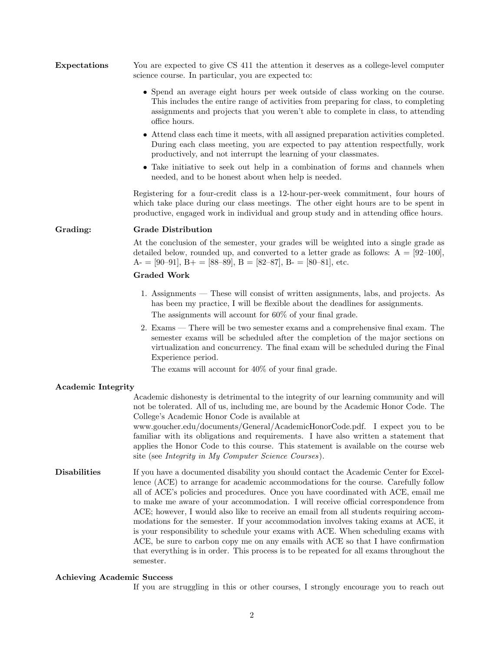| ${\rm Expectations}$ | You are expected to give CS 411 the attention it deserves as a college-level computer |
|----------------------|---------------------------------------------------------------------------------------|
|                      | science course. In particular, you are expected to:                                   |

- Spend an average eight hours per week outside of class working on the course. This includes the entire range of activities from preparing for class, to completing assignments and projects that you weren't able to complete in class, to attending office hours.
- Attend class each time it meets, with all assigned preparation activities completed. During each class meeting, you are expected to pay attention respectfully, work productively, and not interrupt the learning of your classmates.
- Take initiative to seek out help in a combination of forms and channels when needed, and to be honest about when help is needed.

Registering for a four-credit class is a 12-hour-per-week commitment, four hours of which take place during our class meetings. The other eight hours are to be spent in productive, engaged work in individual and group study and in attending office hours.

#### Grading: Grade Distribution

At the conclusion of the semester, your grades will be weighted into a single grade as detailed below, rounded up, and converted to a letter grade as follows:  $A = [92-100]$ , A- = [90–91], B+ = [88–89], B = [82–87], B- = [80–81], etc.

#### Graded Work

- 1. Assignments These will consist of written assignments, labs, and projects. As has been my practice, I will be flexible about the deadlines for assignments. The assignments will account for 60% of your final grade.
- 2. Exams There will be two semester exams and a comprehensive final exam. The semester exams will be scheduled after the completion of the major sections on virtualization and concurrency. The final exam will be scheduled during the Final Experience period.

The exams will account for 40% of your final grade.

#### Academic Integrity

Academic dishonesty is detrimental to the integrity of our learning community and will not be tolerated. All of us, including me, are bound by the Academic Honor Code. The College's Academic Honor Code is available at

www.goucher.edu/documents/General/AcademicHonorCode.pdf. I expect you to be familiar with its obligations and requirements. I have also written a statement that applies the Honor Code to this course. This statement is available on the course web site (see Integrity in My Computer Science Courses).

Disabilities If you have a documented disability you should contact the Academic Center for Excellence (ACE) to arrange for academic accommodations for the course. Carefully follow all of ACE's policies and procedures. Once you have coordinated with ACE, email me to make me aware of your accommodation. I will receive official correspondence from ACE; however, I would also like to receive an email from all students requiring accommodations for the semester. If your accommodation involves taking exams at ACE, it is your responsibility to schedule your exams with ACE. When scheduling exams with ACE, be sure to carbon copy me on any emails with ACE so that I have confirmation that everything is in order. This process is to be repeated for all exams throughout the semester.

#### Achieving Academic Success

If you are struggling in this or other courses, I strongly encourage you to reach out